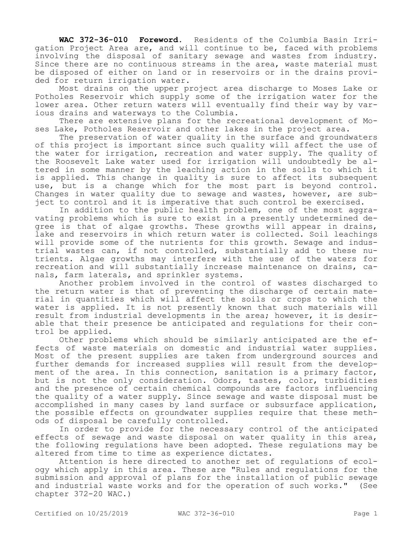**WAC 372-36-010 Foreword.** Residents of the Columbia Basin Irrigation Project Area are, and will continue to be, faced with problems involving the disposal of sanitary sewage and wastes from industry. Since there are no continuous streams in the area, waste material must be disposed of either on land or in reservoirs or in the drains provided for return irrigation water.

Most drains on the upper project area discharge to Moses Lake or Potholes Reservoir which supply some of the irrigation water for the lower area. Other return waters will eventually find their way by various drains and waterways to the Columbia.

There are extensive plans for the recreational development of Moses Lake, Potholes Reservoir and other lakes in the project area.

The preservation of water quality in the surface and groundwaters of this project is important since such quality will affect the use of the water for irrigation, recreation and water supply. The quality of the Roosevelt Lake water used for irrigation will undoubtedly be altered in some manner by the leaching action in the soils to which it is applied. This change in quality is sure to affect its subsequent use, but is a change which for the most part is beyond control. Changes in water quality due to sewage and wastes, however, are subject to control and it is imperative that such control be exercised.

In addition to the public health problem, one of the most aggravating problems which is sure to exist in a presently undetermined degree is that of algae growths. These growths will appear in drains, lake and reservoirs in which return water is collected. Soil leachings will provide some of the nutrients for this growth. Sewage and industrial wastes can, if not controlled, substantially add to these nutrients. Algae growths may interfere with the use of the waters for recreation and will substantially increase maintenance on drains, canals, farm laterals, and sprinkler systems.

Another problem involved in the control of wastes discharged to the return water is that of preventing the discharge of certain material in quantities which will affect the soils or crops to which the water is applied. It is not presently known that such materials will result from industrial developments in the area; however, it is desirable that their presence be anticipated and regulations for their control be applied.

Other problems which should be similarly anticipated are the effects of waste materials on domestic and industrial water supplies. Most of the present supplies are taken from underground sources and further demands for increased supplies will result from the development of the area. In this connection, sanitation is a primary factor, but is not the only consideration. Odors, tastes, color, turbidities and the presence of certain chemical compounds are factors influencing the quality of a water supply. Since sewage and waste disposal must be accomplished in many cases by land surface or subsurface application, the possible effects on groundwater supplies require that these methods of disposal be carefully controlled.

In order to provide for the necessary control of the anticipated effects of sewage and waste disposal on water quality in this area, the following regulations have been adopted. These regulations may be altered from time to time as experience dictates.

Attention is here directed to another set of regulations of ecology which apply in this area. These are "Rules and regulations for the submission and approval of plans for the installation of public sewage and industrial waste works and for the operation of such works." (See chapter 372-20 WAC.)